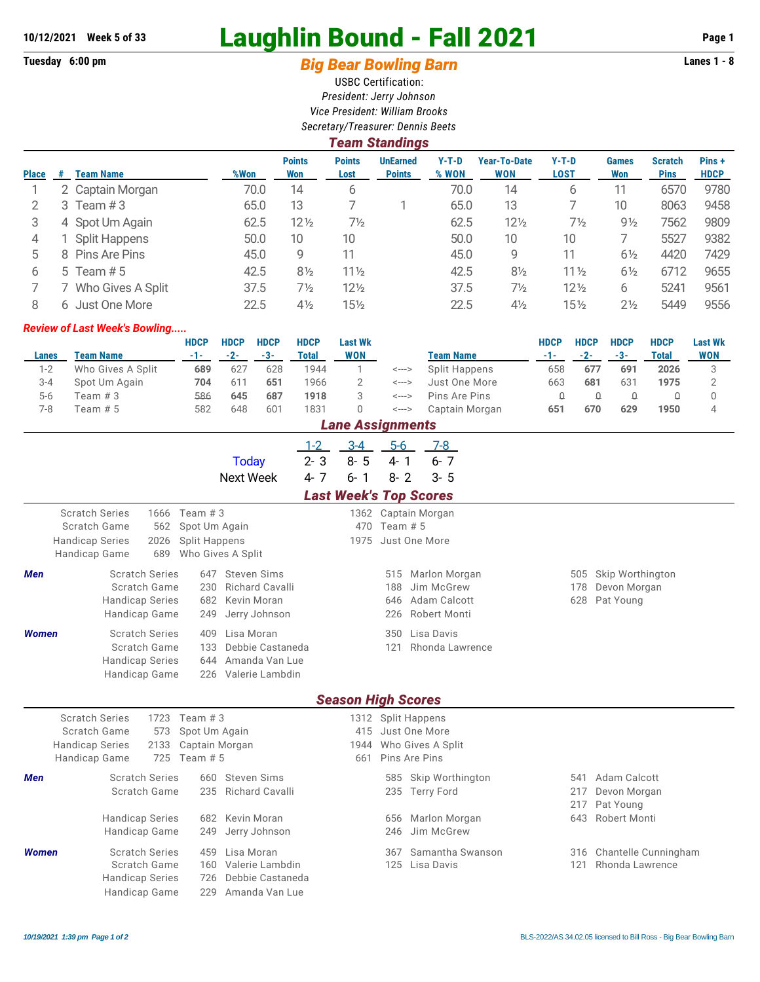# **10/12/2021 Week 5 of 33 Laughlin Bound - Fall 2021 Page 1**

## Tuesday 6:00 pm **Big Bear Bowling Barn Barn Lanes 1 - 8**

USBC Certification: *President: Jerry Johnson Vice President: William Brooks Secretary/Treasurer: Dennis Beets*

|              | <b>Team Standings</b> |                   |      |                      |                       |                                  |                  |                                   |                        |                     |                               |                      |  |
|--------------|-----------------------|-------------------|------|----------------------|-----------------------|----------------------------------|------------------|-----------------------------------|------------------------|---------------------|-------------------------------|----------------------|--|
| <b>Place</b> | #                     | <b>Team Name</b>  | %Won | <b>Points</b><br>Won | <b>Points</b><br>Lost | <b>UnEarned</b><br><b>Points</b> | $Y-T-D$<br>% WON | <b>Year-To-Date</b><br><b>WON</b> | $Y-T-D$<br><b>LOST</b> | <b>Games</b><br>Won | <b>Scratch</b><br><b>Pins</b> | Pins+<br><b>HDCP</b> |  |
|              |                       | 2 Captain Morgan  | 70.0 | 14                   | 6                     |                                  | 70.0             | 14                                | 6                      | 11                  | 6570                          | 9780                 |  |
|              | 3                     | Team $#3$         | 65.0 | 13                   |                       |                                  | 65.0             | 13                                |                        | 10                  | 8063                          | 9458                 |  |
| 3            |                       | 4 Spot Um Again   | 62.5 | $12\frac{1}{2}$      | $7\frac{1}{2}$        |                                  | 62.5             | $12\frac{1}{2}$                   | $7\frac{1}{2}$         | $9\frac{1}{2}$      | 7562                          | 9809                 |  |
| 4            |                       | Split Happens     | 50.0 | 10                   | 10                    |                                  | 50.0             | 10                                | 10                     |                     | 5527                          | 9382                 |  |
| 5            |                       | 8 Pins Are Pins   | 45.0 | 9                    | 11                    |                                  | 45.0             | 9                                 |                        | $6\frac{1}{2}$      | 4420                          | 7429                 |  |
| 6            |                       | 5 Team $#5$       | 42.5 | $8\frac{1}{2}$       | $11\frac{1}{2}$       |                                  | 42.5             | $8\frac{1}{2}$                    | $11\frac{1}{2}$        | $6\frac{1}{2}$      | 6712                          | 9655                 |  |
|              |                       | Who Gives A Split | 37.5 | $7\frac{1}{2}$       | $12\frac{1}{2}$       |                                  | 37.5             | $7\frac{1}{2}$                    | $12\frac{1}{2}$        | 6                   | 5241                          | 9561                 |  |
| 8            | 6                     | Just One More     | 22.5 | $4\frac{1}{2}$       | $15\frac{1}{2}$       |                                  | 22.5             | $4\frac{1}{2}$                    | $15\frac{1}{2}$        | $2\frac{1}{2}$      | 5449                          | 9556                 |  |

#### *Review of Last Week's Bowling.....*

|         |                   | <b>HDCP</b> | <b>HDCP</b> | <b>HDCP</b> | <b>HDCP</b> | <b>Last Wk</b>    |       |                  | <b>HDCP</b> | <b>HDCP</b> | <b>HDCP</b> | <b>HDCP</b> | <b>Last Wk</b> |
|---------|-------------------|-------------|-------------|-------------|-------------|-------------------|-------|------------------|-------------|-------------|-------------|-------------|----------------|
| Lanes   | Team Name         | -1-1        | $-2-$       | $-3-$       | Total       | WON               |       | <b>Team Name</b> |             | $-2-$       | $-3-$       | Total       | <b>WON</b>     |
| 1-2     | Who Gives A Split | 689         | 627         | 628         | 1944        |                   | <---> | Split Happens    | 658         | 677         | 691         | 2026        |                |
| $3 - 4$ | Spot Um Again     | 704         | 611         | 651         | 1966        |                   | <---> | Just One More    | 663         | 681         | 631         | 1975        |                |
| $5-6$   | Team #3           | 586         | 645         | 687         | 1918        |                   | <---> | Pins Are Pins    |             |             |             |             |                |
| 7-8     | Team # 5          | 582         | 648         | 601         | 1831        |                   | <---> | Captain Morgan   | 651         | 670         | 629         | 1950        |                |
|         |                   |             |             |             |             | I ana Accianmante |       |                  |             |             |             |             |                |

|              | <i>Lane Assignments</i>                                                                                                                   |                                                                           |                                          |                          |                                                                                    |                   |                                               |  |  |  |  |  |  |
|--------------|-------------------------------------------------------------------------------------------------------------------------------------------|---------------------------------------------------------------------------|------------------------------------------|--------------------------|------------------------------------------------------------------------------------|-------------------|-----------------------------------------------|--|--|--|--|--|--|
|              |                                                                                                                                           | <b>Today</b>                                                              | $3 - 4$<br>$1 - 2$<br>$2 - 3$<br>$8 - 5$ | $5-6$<br>$4 - 1$         | 7-8<br>$6 - 7$                                                                     |                   |                                               |  |  |  |  |  |  |
|              |                                                                                                                                           | <b>Next Week</b>                                                          | $4 - 7$<br>$6 - 1$                       | $8 - 2$                  | $3 - 5$                                                                            |                   |                                               |  |  |  |  |  |  |
|              |                                                                                                                                           |                                                                           | <b>Last Week's Top Scores</b>            |                          |                                                                                    |                   |                                               |  |  |  |  |  |  |
|              | <b>Scratch Series</b><br>1666<br>Team $#3$<br>Scratch Game<br>562<br><b>Handicap Series</b><br>2026<br>689<br>Handicap Game               | Spot Um Again<br><b>Split Happens</b><br>Who Gives A Split                | 470<br>1975                              | Team $# 5$               | 1362 Captain Morgan<br>Just One More                                               |                   |                                               |  |  |  |  |  |  |
| Men          | <b>Scratch Series</b><br>Scratch Game<br>230<br><b>Handicap Series</b><br>682<br>Handicap Game<br>249                                     | 647 Steven Sims<br><b>Richard Cavalli</b><br>Kevin Moran<br>Jerry Johnson |                                          | 515<br>188<br>646<br>226 | Marlon Morgan<br>Jim McGrew<br>Adam Calcott<br>Robert Monti                        | 505<br>178<br>628 | Skip Worthington<br>Devon Morgan<br>Pat Young |  |  |  |  |  |  |
| <b>Women</b> | <b>Scratch Series</b><br>409<br>Scratch Game<br>133<br><b>Handicap Series</b><br>644<br>Handicap Game                                     | Lisa Moran<br>Debbie Castaneda<br>Amanda Van Lue<br>226 Valerie Lambdin   |                                          | 350<br>121               | Lisa Davis<br>Rhonda Lawrence                                                      |                   |                                               |  |  |  |  |  |  |
|              |                                                                                                                                           |                                                                           | <b>Season High Scores</b>                |                          |                                                                                    |                   |                                               |  |  |  |  |  |  |
|              | <b>Scratch Series</b><br>1723<br>Team $#3$<br>Scratch Game<br>573<br><b>Handicap Series</b><br>2133<br>725<br>Handicap Game<br>Team $# 5$ | Spot Um Again<br>Captain Morgan                                           | 661                                      |                          | 1312 Split Happens<br>415 Just One More<br>1944 Who Gives A Split<br>Pins Are Pins |                   |                                               |  |  |  |  |  |  |
| Men          | <b>Scratch Series</b><br>660<br>Scratch Game<br>235                                                                                       | <b>Steven Sims</b><br>Richard Cavalli                                     |                                          |                          | 585 Skip Worthington<br>235 Terry Ford                                             | 541<br>217<br>217 | Adam Calcott<br>Devon Morgan<br>Pat Young     |  |  |  |  |  |  |
|              | <b>Handicap Series</b><br>682<br>Handicap Game<br>249                                                                                     | Kevin Moran<br>Jerry Johnson                                              |                                          | 656<br>246               | Marlon Morgan<br>Jim McGrew                                                        | 643               | <b>Robert Monti</b>                           |  |  |  |  |  |  |
| <b>Women</b> | <b>Scratch Series</b><br>459<br>Scratch Game<br>160<br><b>Handicap Series</b><br>726<br><b>Handicap Game</b><br>229                       | Lisa Moran<br>Valerie Lambdin<br>Debbie Castaneda<br>Amanda Van Lue       |                                          | 367<br>125               | Samantha Swanson<br>Lisa Davis                                                     | 121               | 316 Chantelle Cunningham<br>Rhonda Lawrence   |  |  |  |  |  |  |